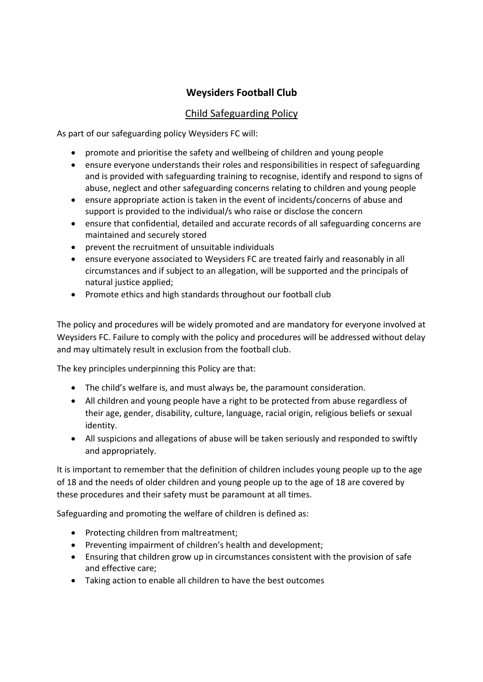# **Weysiders Football Club**

## Child Safeguarding Policy

As part of our safeguarding policy Weysiders FC will:

- promote and prioritise the safety and wellbeing of children and young people
- ensure everyone understands their roles and responsibilities in respect of safeguarding and is provided with safeguarding training to recognise, identify and respond to signs of abuse, neglect and other safeguarding concerns relating to children and young people
- ensure appropriate action is taken in the event of incidents/concerns of abuse and support is provided to the individual/s who raise or disclose the concern
- ensure that confidential, detailed and accurate records of all safeguarding concerns are maintained and securely stored
- prevent the recruitment of unsuitable individuals
- ensure everyone associated to Weysiders FC are treated fairly and reasonably in all circumstances and if subject to an allegation, will be supported and the principals of natural justice applied;
- Promote ethics and high standards throughout our football club

The policy and procedures will be widely promoted and are mandatory for everyone involved at Weysiders FC. Failure to comply with the policy and procedures will be addressed without delay and may ultimately result in exclusion from the football club.

The key principles underpinning this Policy are that:

- The child's welfare is, and must always be, the paramount consideration.
- All children and young people have a right to be protected from abuse regardless of their age, gender, disability, culture, language, racial origin, religious beliefs or sexual identity.
- All suspicions and allegations of abuse will be taken seriously and responded to swiftly and appropriately.

It is important to remember that the definition of children includes young people up to the age of 18 and the needs of older children and young people up to the age of 18 are covered by these procedures and their safety must be paramount at all times.

Safeguarding and promoting the welfare of children is defined as:

- Protecting children from maltreatment;
- Preventing impairment of children's health and development;
- Ensuring that children grow up in circumstances consistent with the provision of safe and effective care;
- Taking action to enable all children to have the best outcomes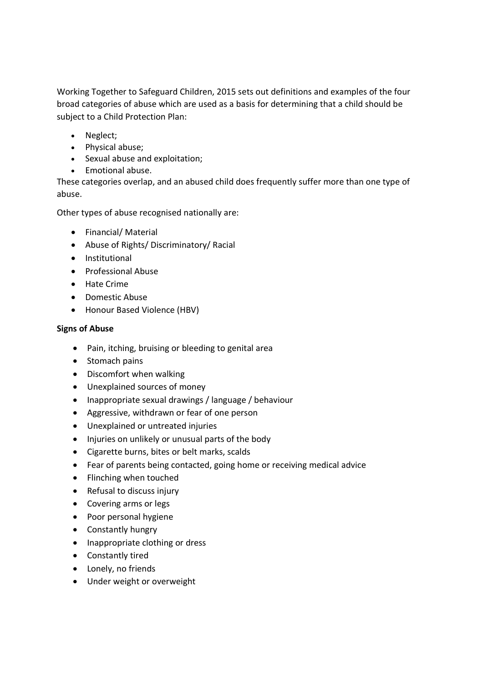Working Together to Safeguard Children, 2015 sets out definitions and examples of the four broad categories of abuse which are used as a basis for determining that a child should be subject to a Child Protection Plan:

- Neglect;
- Physical abuse;
- Sexual abuse and exploitation;
- Emotional abuse.

These categories overlap, and an abused child does frequently suffer more than one type of abuse.

Other types of abuse recognised nationally are:

- Financial/ Material
- Abuse of Rights/ Discriminatory/ Racial
- **•** Institutional
- Professional Abuse
- Hate Crime
- Domestic Abuse
- Honour Based Violence (HBV)

### **Signs of Abuse**

- Pain, itching, bruising or bleeding to genital area
- Stomach pains
- Discomfort when walking
- Unexplained sources of money
- Inappropriate sexual drawings / language / behaviour
- Aggressive, withdrawn or fear of one person
- Unexplained or untreated injuries
- Injuries on unlikely or unusual parts of the body
- Cigarette burns, bites or belt marks, scalds
- Fear of parents being contacted, going home or receiving medical advice
- Flinching when touched
- Refusal to discuss injury
- Covering arms or legs
- Poor personal hygiene
- Constantly hungry
- Inappropriate clothing or dress
- Constantly tired
- Lonely, no friends
- Under weight or overweight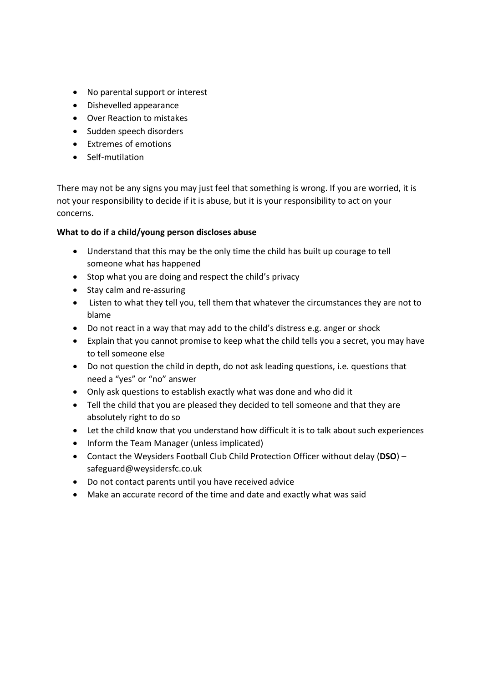- No parental support or interest
- Dishevelled appearance
- Over Reaction to mistakes
- Sudden speech disorders
- Extremes of emotions
- Self-mutilation

There may not be any signs you may just feel that something is wrong. If you are worried, it is not your responsibility to decide if it is abuse, but it is your responsibility to act on your concerns.

#### **What to do if a child/young person discloses abuse**

- Understand that this may be the only time the child has built up courage to tell someone what has happened
- Stop what you are doing and respect the child's privacy
- Stay calm and re-assuring
- Listen to what they tell you, tell them that whatever the circumstances they are not to blame
- Do not react in a way that may add to the child's distress e.g. anger or shock
- Explain that you cannot promise to keep what the child tells you a secret, you may have to tell someone else
- Do not question the child in depth, do not ask leading questions, i.e. questions that need a "yes" or "no" answer
- Only ask questions to establish exactly what was done and who did it
- Tell the child that you are pleased they decided to tell someone and that they are absolutely right to do so
- Let the child know that you understand how difficult it is to talk about such experiences
- Inform the Team Manager (unless implicated)
- Contact the Weysiders Football Club Child Protection Officer without delay (**DSO**) safeguard@weysidersfc.co.uk
- Do not contact parents until you have received advice
- Make an accurate record of the time and date and exactly what was said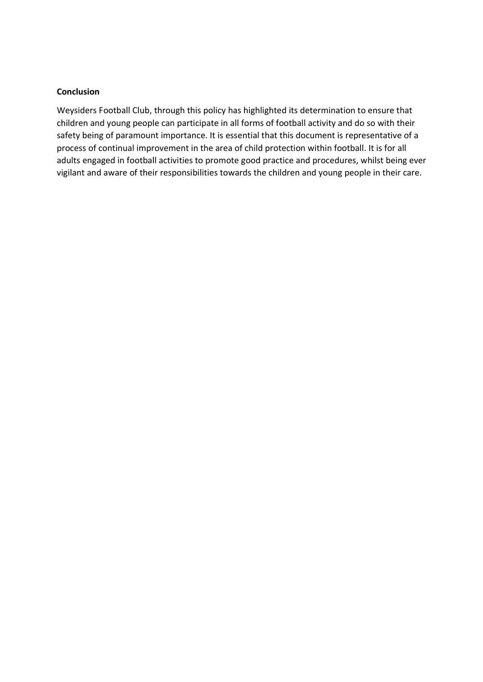#### **Conclusion**

Weysiders Football Club, through this policy has highlighted its determination to ensure that children and young people can participate in all forms of football activity and do so with their safety being of paramount importance. It is essential that this document is representative of a process of continual improvement in the area of child protection within football. It is for all adults engaged in football activities to promote good practice and procedures, whilst being ever vigilant and aware of their responsibilities towards the children and young people in their care.